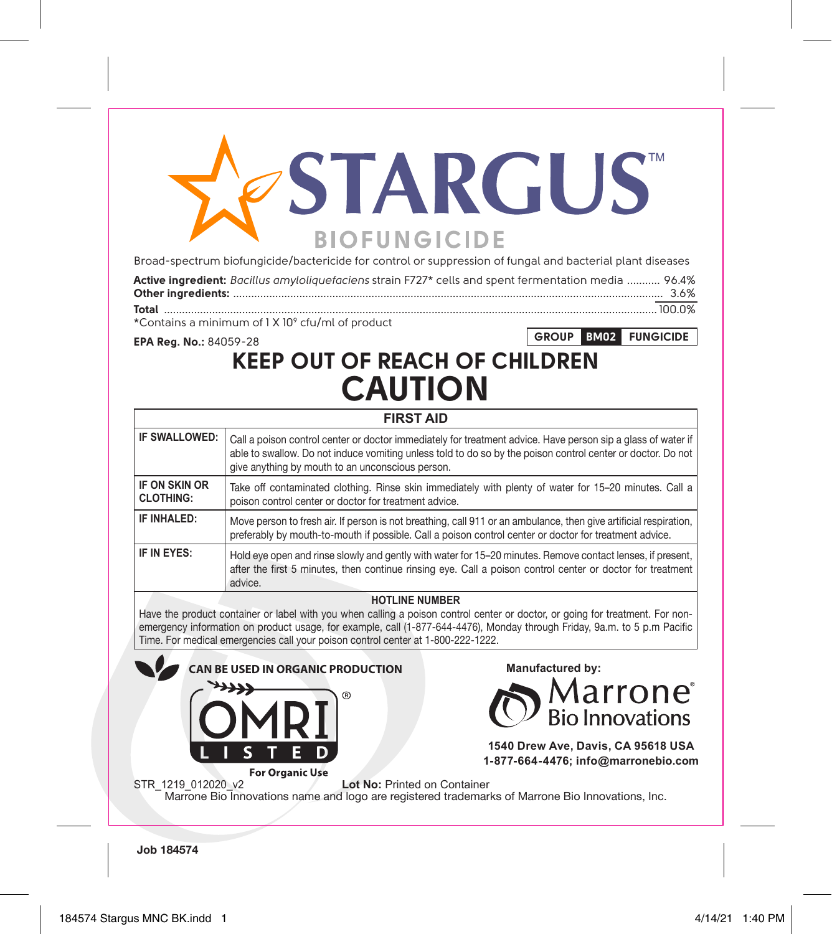# **STARGUS BIOFUNGICIDE**

Broad-spectrum biofungicide/bactericide for control or suppression of fungal and bacterial plant diseases

| Active ingredient: Bacillus amyloliquefaciens strain F727* cells and spent fermentation media  96.4% |  |
|------------------------------------------------------------------------------------------------------|--|
|                                                                                                      |  |
|                                                                                                      |  |

**GROUP BM02 FUNGICIDE**

\*Contains a minimum of 1 X 109 cfu/ml of product

**EPA Reg. No.:** 84059-28

# **KEEP OUT OF REACH OF CHILDREN CAUTION**

|                                   | <b>FIRST AID</b>                                                                                                                                                                                                                                                                |
|-----------------------------------|---------------------------------------------------------------------------------------------------------------------------------------------------------------------------------------------------------------------------------------------------------------------------------|
| IF SWALLOWED:                     | Call a poison control center or doctor immediately for treatment advice. Have person sip a glass of water if<br>able to swallow. Do not induce vomiting unless told to do so by the poison control center or doctor. Do not<br>give anything by mouth to an unconscious person. |
| IF ON SKIN OR<br><b>CLOTHING:</b> | Take off contaminated clothing. Rinse skin immediately with plenty of water for 15–20 minutes. Call a<br>poison control center or doctor for treatment advice.                                                                                                                  |
| IF INHAI FD:                      | Move person to fresh air. If person is not breathing, call 911 or an ambulance, then give artificial respiration,<br>preferably by mouth-to-mouth if possible. Call a poison control center or doctor for treatment advice.                                                     |
| IF IN EYES:                       | Hold eye open and rinse slowly and gently with water for 15–20 minutes. Remove contact lenses, if present,<br>after the first 5 minutes, then continue rinsing eye. Call a poison control center or doctor for treatment<br>advice.                                             |

### **HOTLINE NUMBER**

Have the product container or label with you when calling a poison control center or doctor, or going for treatment. For nonemergency information on product usage, for example, call (1-877-644-4476), Monday through Friday, 9a.m. to 5 p.m Pacific Time. For medical emergencies call your poison control center at 1-800-222-1222.



**Job 184574**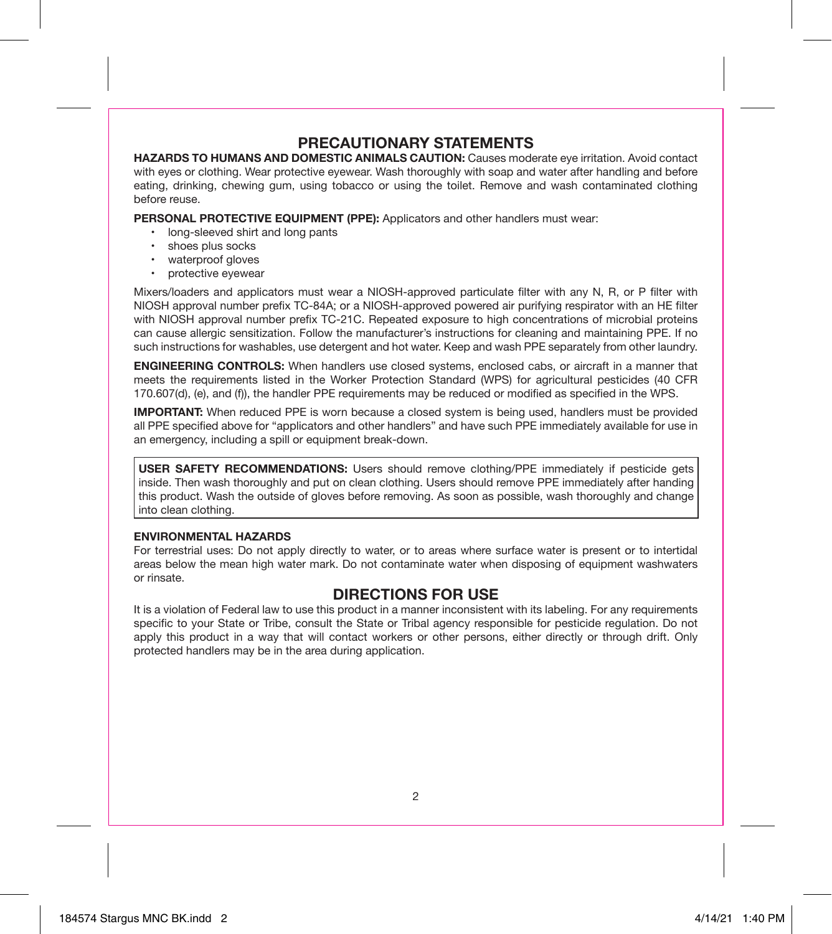# **PRECAUTIONARY STATEMENTS**

**HAZARDS TO HUMANS AND DOMESTIC ANIMALS CAUTION:** Causes moderate eye irritation. Avoid contact with eyes or clothing. Wear protective eyewear. Wash thoroughly with soap and water after handling and before eating, drinking, chewing gum, using tobacco or using the toilet. Remove and wash contaminated clothing before reuse.

**PERSONAL PROTECTIVE EQUIPMENT (PPE):** Applicators and other handlers must wear:

- long-sleeved shirt and long pants
- shoes plus socks
- waterproof gloves
- protective eyewear

Mixers/loaders and applicators must wear a NIOSH-approved particulate filter with any N, R, or P filter with NIOSH approval number prefix TC-84A; or a NIOSH-approved powered air purifying respirator with an HE filter with NIOSH approval number prefix TC-21C. Repeated exposure to high concentrations of microbial proteins can cause allergic sensitization. Follow the manufacturer's instructions for cleaning and maintaining PPE. If no such instructions for washables, use detergent and hot water. Keep and wash PPE separately from other laundry.

**ENGINEERING CONTROLS:** When handlers use closed systems, enclosed cabs, or aircraft in a manner that meets the requirements listed in the Worker Protection Standard (WPS) for agricultural pesticides (40 CFR 170.607(d), (e), and (f)), the handler PPE requirements may be reduced or modified as specified in the WPS.

**IMPORTANT:** When reduced PPE is worn because a closed system is being used, handlers must be provided all PPE specified above for "applicators and other handlers" and have such PPE immediately available for use in an emergency, including a spill or equipment break-down.

**USER SAFETY RECOMMENDATIONS:** Users should remove clothing/PPE immediately if pesticide gets inside. Then wash thoroughly and put on clean clothing. Users should remove PPE immediately after handing this product. Wash the outside of gloves before removing. As soon as possible, wash thoroughly and change into clean clothing.

#### **ENVIRONMENTAL HAZARDS**

For terrestrial uses: Do not apply directly to water, or to areas where surface water is present or to intertidal areas below the mean high water mark. Do not contaminate water when disposing of equipment washwaters or rinsate.

# **DIRECTIONS FOR USE**

It is a violation of Federal law to use this product in a manner inconsistent with its labeling. For any requirements specific to your State or Tribe, consult the State or Tribal agency responsible for pesticide regulation. Do not apply this product in a way that will contact workers or other persons, either directly or through drift. Only protected handlers may be in the area during application.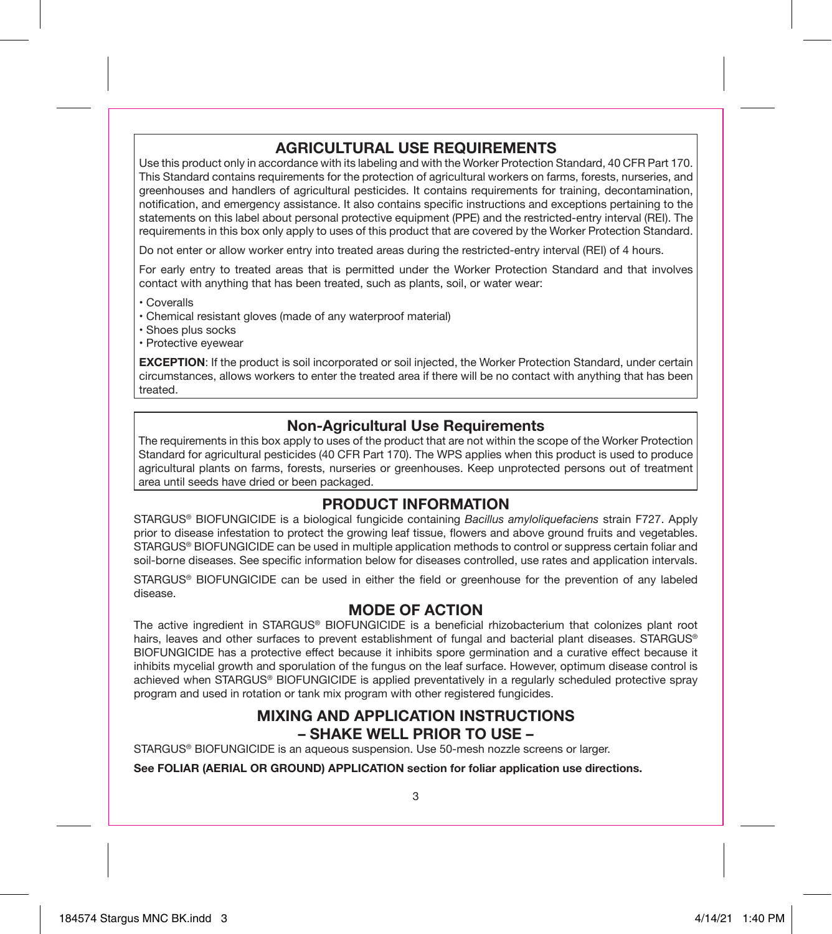# **AGRICULTURAL USE REQUIREMENTS**

Use this product only in accordance with its labeling and with the Worker Protection Standard, 40 CFR Part 170. This Standard contains requirements for the protection of agricultural workers on farms, forests, nurseries, and greenhouses and handlers of agricultural pesticides. It contains requirements for training, decontamination, notification, and emergency assistance. It also contains specific instructions and exceptions pertaining to the statements on this label about personal protective equipment (PPE) and the restricted-entry interval (REI). The requirements in this box only apply to uses of this product that are covered by the Worker Protection Standard.

Do not enter or allow worker entry into treated areas during the restricted-entry interval (REI) of 4 hours.

For early entry to treated areas that is permitted under the Worker Protection Standard and that involves contact with anything that has been treated, such as plants, soil, or water wear:

• Coveralls

- Chemical resistant gloves (made of any waterproof material)
- Shoes plus socks
- Protective eyewear

**EXCEPTION**: If the product is soil incorporated or soil injected, the Worker Protection Standard, under certain circumstances, allows workers to enter the treated area if there will be no contact with anything that has been treated.

# **Non-Agricultural Use Requirements**

The requirements in this box apply to uses of the product that are not within the scope of the Worker Protection Standard for agricultural pesticides (40 CFR Part 170). The WPS applies when this product is used to produce agricultural plants on farms, forests, nurseries or greenhouses. Keep unprotected persons out of treatment area until seeds have dried or been packaged.

# **PRODUCT INFORMATION**

STARGUS® BIOFUNGICIDE is a biological fungicide containing *Bacillus amyloliquefaciens* strain F727. Apply prior to disease infestation to protect the growing leaf tissue, flowers and above ground fruits and vegetables. STARGUS® BIOFUNGICIDE can be used in multiple application methods to control or suppress certain foliar and soil-borne diseases. See specific information below for diseases controlled, use rates and application intervals.

STARGUS® BIOFUNGICIDE can be used in either the field or greenhouse for the prevention of any labeled disease.

# **MODE OF ACTION**

The active ingredient in STARGUS® BIOFUNGICIDE is a beneficial rhizobacterium that colonizes plant root hairs, leaves and other surfaces to prevent establishment of fungal and bacterial plant diseases. STARGUS® BIOFUNGICIDE has a protective effect because it inhibits spore germination and a curative effect because it inhibits mycelial growth and sporulation of the fungus on the leaf surface. However, optimum disease control is achieved when STARGUS® BIOFUNGICIDE is applied preventatively in a regularly scheduled protective spray program and used in rotation or tank mix program with other registered fungicides.

# **MIXING AND APPLICATION INSTRUCTIONS – SHAKE WELL PRIOR TO USE –**

STARGUS® BIOFUNGICIDE is an aqueous suspension. Use 50-mesh nozzle screens or larger.

**See FOLIAR (AERIAL OR GROUND) APPLICATION section for foliar application use directions.**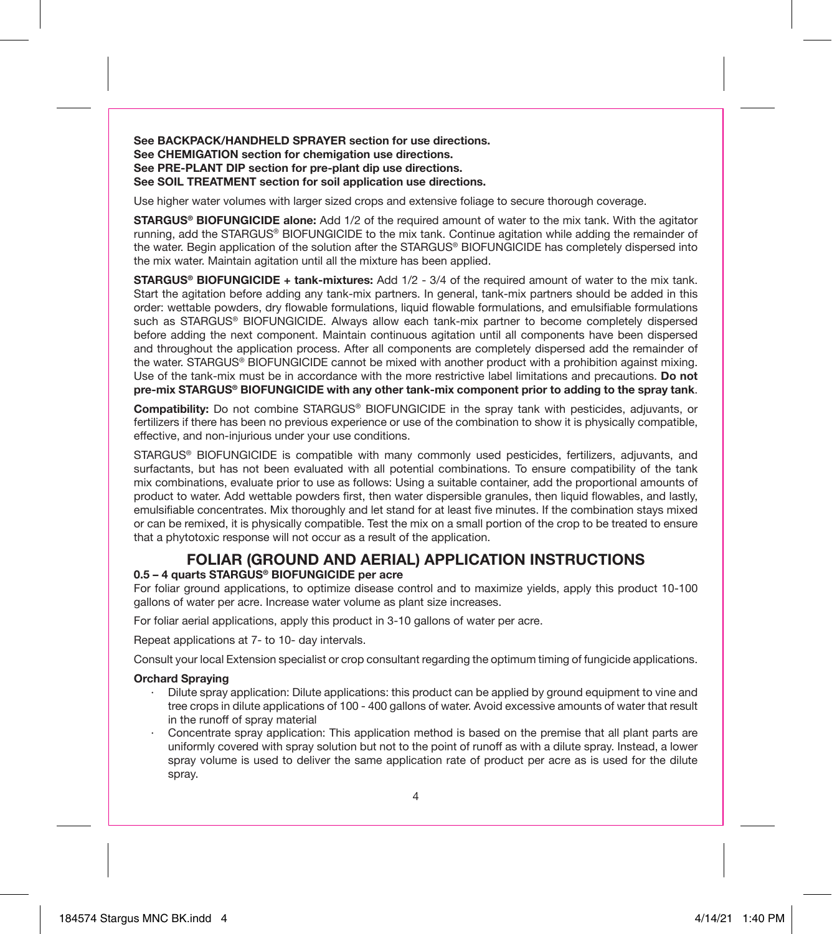**See BACKPACK/HANDHELD SPRAYER section for use directions. See CHEMIGATION section for chemigation use directions. See PRE-PLANT DIP section for pre-plant dip use directions. See SOIL TREATMENT section for soil application use directions.**

Use higher water volumes with larger sized crops and extensive foliage to secure thorough coverage.

**STARGUS® BIOFUNGICIDE alone:** Add 1/2 of the required amount of water to the mix tank. With the agitator running, add the STARGUS® BIOFUNGICIDE to the mix tank. Continue agitation while adding the remainder of the water. Begin application of the solution after the STARGUS® BIOFUNGICIDE has completely dispersed into the mix water. Maintain agitation until all the mixture has been applied.

**STARGUS® BIOFUNGICIDE + tank-mixtures:** Add 1/2 - 3/4 of the required amount of water to the mix tank. Start the agitation before adding any tank-mix partners. In general, tank-mix partners should be added in this order: wettable powders, dry flowable formulations, liquid flowable formulations, and emulsifiable formulations such as STARGUS® BIOFUNGICIDE. Always allow each tank-mix partner to become completely dispersed before adding the next component. Maintain continuous agitation until all components have been dispersed and throughout the application process. After all components are completely dispersed add the remainder of the water. STARGUS® BIOFUNGICIDE cannot be mixed with another product with a prohibition against mixing. Use of the tank-mix must be in accordance with the more restrictive label limitations and precautions. **Do not pre-mix STARGUS® BIOFUNGICIDE with any other tank-mix component prior to adding to the spray tank**.

**Compatibility:** Do not combine STARGUS® BIOFUNGICIDE in the spray tank with pesticides, adjuvants, or fertilizers if there has been no previous experience or use of the combination to show it is physically compatible, effective, and non-injurious under your use conditions.

STARGUS® BIOFUNGICIDE is compatible with many commonly used pesticides, fertilizers, adjuvants, and surfactants, but has not been evaluated with all potential combinations. To ensure compatibility of the tank mix combinations, evaluate prior to use as follows: Using a suitable container, add the proportional amounts of product to water. Add wettable powders first, then water dispersible granules, then liquid flowables, and lastly, emulsifiable concentrates. Mix thoroughly and let stand for at least five minutes. If the combination stays mixed or can be remixed, it is physically compatible. Test the mix on a small portion of the crop to be treated to ensure that a phytotoxic response will not occur as a result of the application.

#### **FOLIAR (GROUND AND AERIAL) APPLICATION INSTRUCTIONS 0.5 – 4 quarts STARGUS® BIOFUNGICIDE per acre**

For foliar ground applications, to optimize disease control and to maximize yields, apply this product 10-100 gallons of water per acre. Increase water volume as plant size increases.

For foliar aerial applications, apply this product in 3-10 gallons of water per acre.

Repeat applications at 7- to 10- day intervals.

Consult your local Extension specialist or crop consultant regarding the optimum timing of fungicide applications.

#### **Orchard Spraying**

- · Dilute spray application: Dilute applications: this product can be applied by ground equipment to vine and tree crops in dilute applications of 100 - 400 gallons of water. Avoid excessive amounts of water that result in the runoff of spray material
- Concentrate spray application: This application method is based on the premise that all plant parts are uniformly covered with spray solution but not to the point of runoff as with a dilute spray. Instead, a lower spray volume is used to deliver the same application rate of product per acre as is used for the dilute spray.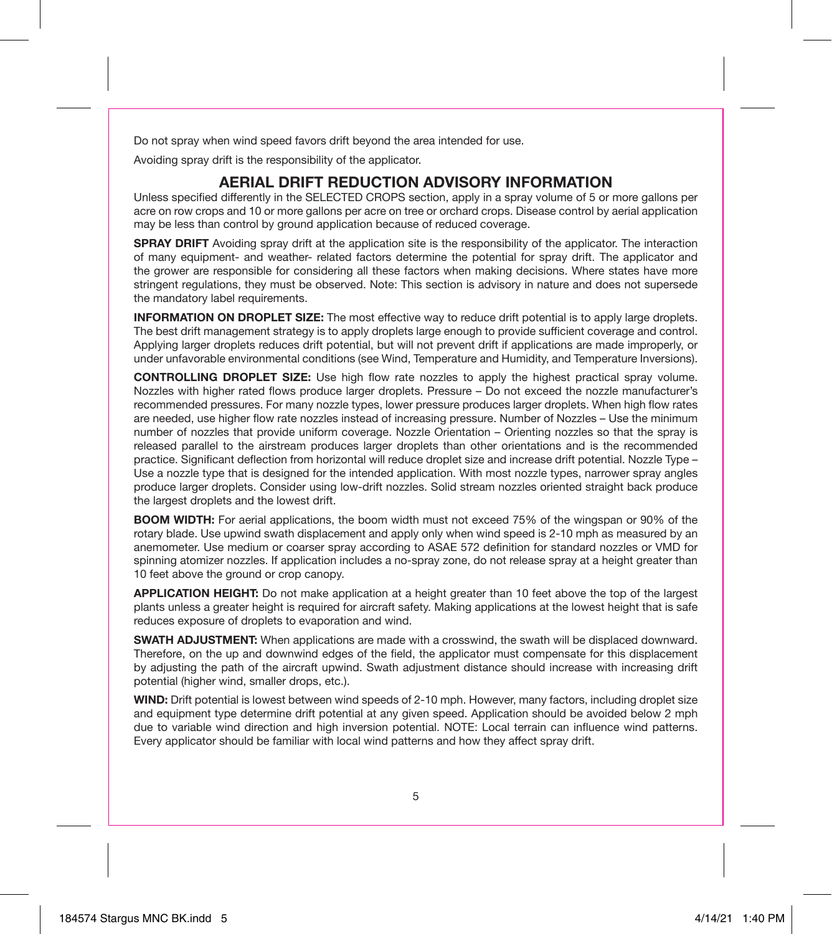Do not spray when wind speed favors drift beyond the area intended for use.

Avoiding spray drift is the responsibility of the applicator.

## **AERIAL DRIFT REDUCTION ADVISORY INFORMATION**

Unless specified differently in the SELECTED CROPS section, apply in a spray volume of 5 or more gallons per acre on row crops and 10 or more gallons per acre on tree or orchard crops. Disease control by aerial application may be less than control by ground application because of reduced coverage.

**SPRAY DRIFT** Avoiding spray drift at the application site is the responsibility of the applicator. The interaction of many equipment- and weather- related factors determine the potential for spray drift. The applicator and the grower are responsible for considering all these factors when making decisions. Where states have more stringent regulations, they must be observed. Note: This section is advisory in nature and does not supersede the mandatory label requirements.

**INFORMATION ON DROPLET SIZE:** The most effective way to reduce drift potential is to apply large droplets. The best drift management strategy is to apply droplets large enough to provide sufficient coverage and control. Applying larger droplets reduces drift potential, but will not prevent drift if applications are made improperly, or under unfavorable environmental conditions (see Wind, Temperature and Humidity, and Temperature Inversions).

**CONTROLLING DROPLET SIZE:** Use high flow rate nozzles to apply the highest practical spray volume. Nozzles with higher rated flows produce larger droplets. Pressure – Do not exceed the nozzle manufacturer's recommended pressures. For many nozzle types, lower pressure produces larger droplets. When high flow rates are needed, use higher flow rate nozzles instead of increasing pressure. Number of Nozzles – Use the minimum number of nozzles that provide uniform coverage. Nozzle Orientation – Orienting nozzles so that the spray is released parallel to the airstream produces larger droplets than other orientations and is the recommended practice. Significant deflection from horizontal will reduce droplet size and increase drift potential. Nozzle Type – Use a nozzle type that is designed for the intended application. With most nozzle types, narrower spray angles produce larger droplets. Consider using low-drift nozzles. Solid stream nozzles oriented straight back produce the largest droplets and the lowest drift.

**BOOM WIDTH:** For aerial applications, the boom width must not exceed 75% of the wingspan or 90% of the rotary blade. Use upwind swath displacement and apply only when wind speed is 2-10 mph as measured by an anemometer. Use medium or coarser spray according to ASAE 572 definition for standard nozzles or VMD for spinning atomizer nozzles. If application includes a no-spray zone, do not release spray at a height greater than 10 feet above the ground or crop canopy.

**APPLICATION HEIGHT:** Do not make application at a height greater than 10 feet above the top of the largest plants unless a greater height is required for aircraft safety. Making applications at the lowest height that is safe reduces exposure of droplets to evaporation and wind.

**SWATH ADJUSTMENT:** When applications are made with a crosswind, the swath will be displaced downward. Therefore, on the up and downwind edges of the field, the applicator must compensate for this displacement by adjusting the path of the aircraft upwind. Swath adjustment distance should increase with increasing drift potential (higher wind, smaller drops, etc.).

**WIND:** Drift potential is lowest between wind speeds of 2-10 mph. However, many factors, including droplet size and equipment type determine drift potential at any given speed. Application should be avoided below 2 mph due to variable wind direction and high inversion potential. NOTE: Local terrain can influence wind patterns. Every applicator should be familiar with local wind patterns and how they affect spray drift.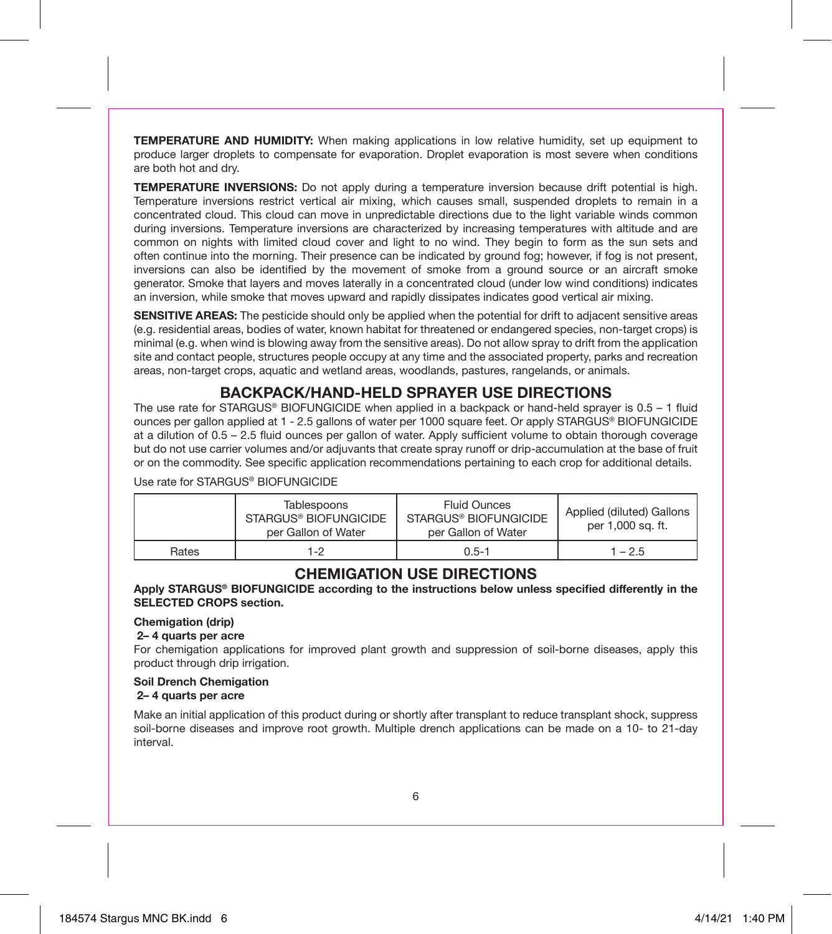**TEMPERATURE AND HUMIDITY:** When making applications in low relative humidity, set up equipment to produce larger droplets to compensate for evaporation. Droplet evaporation is most severe when conditions are both hot and dry.

**TEMPERATURE INVERSIONS:** Do not apply during a temperature inversion because drift potential is high. Temperature inversions restrict vertical air mixing, which causes small, suspended droplets to remain in a concentrated cloud. This cloud can move in unpredictable directions due to the light variable winds common during inversions. Temperature inversions are characterized by increasing temperatures with altitude and are common on nights with limited cloud cover and light to no wind. They begin to form as the sun sets and often continue into the morning. Their presence can be indicated by ground fog; however, if fog is not present, inversions can also be identified by the movement of smoke from a ground source or an aircraft smoke generator. Smoke that layers and moves laterally in a concentrated cloud (under low wind conditions) indicates an inversion, while smoke that moves upward and rapidly dissipates indicates good vertical air mixing.

**SENSITIVE AREAS:** The pesticide should only be applied when the potential for drift to adjacent sensitive areas (e.g. residential areas, bodies of water, known habitat for threatened or endangered species, non-target crops) is minimal (e.g. when wind is blowing away from the sensitive areas). Do not allow spray to drift from the application site and contact people, structures people occupy at any time and the associated property, parks and recreation areas, non-target crops, aquatic and wetland areas, woodlands, pastures, rangelands, or animals.

# **BACKPACK/HAND-HELD SPRAYER USE DIRECTIONS**

The use rate for STARGUS® BIOFUNGICIDE when applied in a backpack or hand-held sprayer is  $0.5 - 1$  fluid ounces per gallon applied at 1 - 2.5 gallons of water per 1000 square feet. Or apply STARGUS® BIOFUNGICIDE at a dilution of 0.5 – 2.5 fluid ounces per gallon of water. Apply sufficient volume to obtain thorough coverage but do not use carrier volumes and/or adjuvants that create spray runoff or drip-accumulation at the base of fruit or on the commodity. See specific application recommendations pertaining to each crop for additional details.

Use rate for STARGUS® BIOFUNGICIDE

|       | Tablespoons<br>STARGUS® BIOFUNGICIDE<br>per Gallon of Water | <b>Fluid Ounces</b><br>STARGUS® BIOFUNGICIDE<br>per Gallon of Water | Applied (diluted) Gallons<br>per 1,000 sq. ft. |
|-------|-------------------------------------------------------------|---------------------------------------------------------------------|------------------------------------------------|
| Rates | 1-2                                                         | $0.5 - 1$                                                           | $1 - 2.5$                                      |

# **CHEMIGATION USE DIRECTIONS**

**Apply STARGUS® BIOFUNGICIDE according to the instructions below unless specified differently in the SELECTED CROPS section.**

#### **Chemigation (drip)**

 **2– 4 quarts per acre**

For chemigation applications for improved plant growth and suppression of soil-borne diseases, apply this product through drip irrigation.

**Soil Drench Chemigation 2– 4 quarts per acre**

Make an initial application of this product during or shortly after transplant to reduce transplant shock, suppress soil-borne diseases and improve root growth. Multiple drench applications can be made on a 10- to 21-day interval.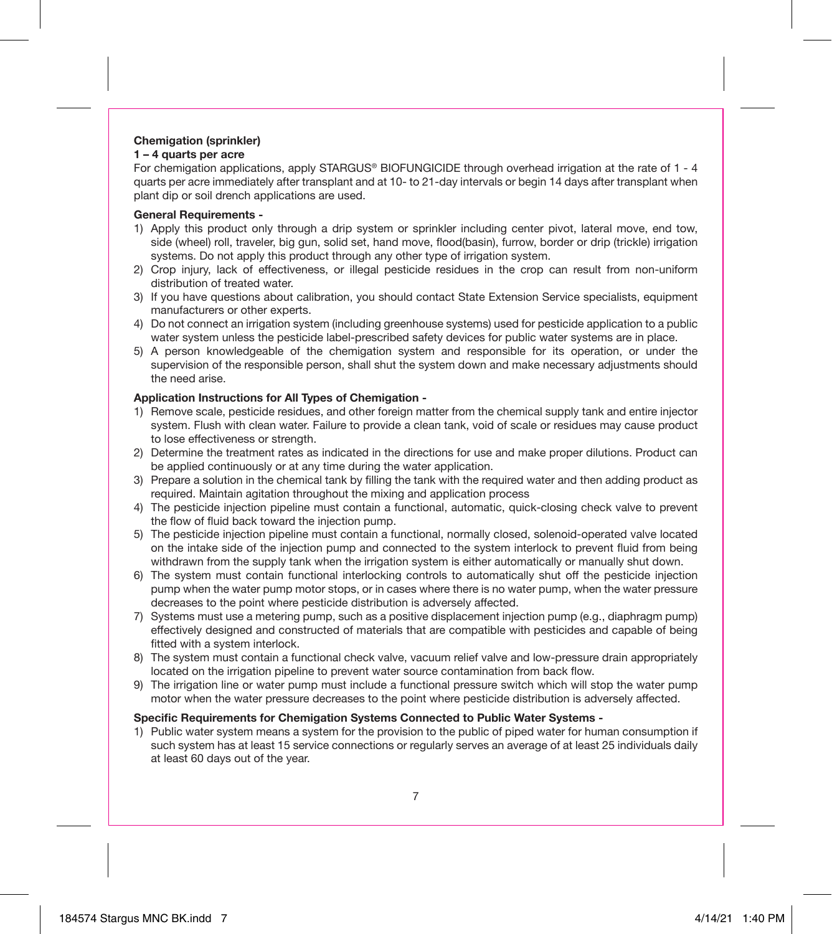# **Chemigation (sprinkler)**

#### **1 – 4 quarts per acre**

For chemigation applications, apply STARGUS® BIOFUNGICIDE through overhead irrigation at the rate of 1 - 4 quarts per acre immediately after transplant and at 10- to 21-day intervals or begin 14 days after transplant when plant dip or soil drench applications are used.

#### **General Requirements -**

- 1) Apply this product only through a drip system or sprinkler including center pivot, lateral move, end tow, side (wheel) roll, traveler, big gun, solid set, hand move, flood(basin), furrow, border or drip (trickle) irrigation systems. Do not apply this product through any other type of irrigation system.
- 2) Crop injury, lack of effectiveness, or illegal pesticide residues in the crop can result from non-uniform distribution of treated water.
- 3) If you have questions about calibration, you should contact State Extension Service specialists, equipment manufacturers or other experts.
- 4) Do not connect an irrigation system (including greenhouse systems) used for pesticide application to a public water system unless the pesticide label-prescribed safety devices for public water systems are in place.
- 5) A person knowledgeable of the chemigation system and responsible for its operation, or under the supervision of the responsible person, shall shut the system down and make necessary adjustments should the need arise.

#### **Application Instructions for All Types of Chemigation -**

- 1) Remove scale, pesticide residues, and other foreign matter from the chemical supply tank and entire injector system. Flush with clean water. Failure to provide a clean tank, void of scale or residues may cause product to lose effectiveness or strength.
- 2) Determine the treatment rates as indicated in the directions for use and make proper dilutions. Product can be applied continuously or at any time during the water application.
- 3) Prepare a solution in the chemical tank by filling the tank with the required water and then adding product as required. Maintain agitation throughout the mixing and application process
- 4) The pesticide injection pipeline must contain a functional, automatic, quick-closing check valve to prevent the flow of fluid back toward the injection pump.
- 5) The pesticide injection pipeline must contain a functional, normally closed, solenoid-operated valve located on the intake side of the injection pump and connected to the system interlock to prevent fluid from being withdrawn from the supply tank when the irrigation system is either automatically or manually shut down.
- 6) The system must contain functional interlocking controls to automatically shut off the pesticide injection pump when the water pump motor stops, or in cases where there is no water pump, when the water pressure decreases to the point where pesticide distribution is adversely affected.
- 7) Systems must use a metering pump, such as a positive displacement injection pump (e.g., diaphragm pump) effectively designed and constructed of materials that are compatible with pesticides and capable of being fitted with a system interlock.
- 8) The system must contain a functional check valve, vacuum relief valve and low-pressure drain appropriately located on the irrigation pipeline to prevent water source contamination from back flow.
- 9) The irrigation line or water pump must include a functional pressure switch which will stop the water pump motor when the water pressure decreases to the point where pesticide distribution is adversely affected.

#### **Specific Requirements for Chemigation Systems Connected to Public Water Systems -**

1) Public water system means a system for the provision to the public of piped water for human consumption if such system has at least 15 service connections or regularly serves an average of at least 25 individuals daily at least 60 days out of the year.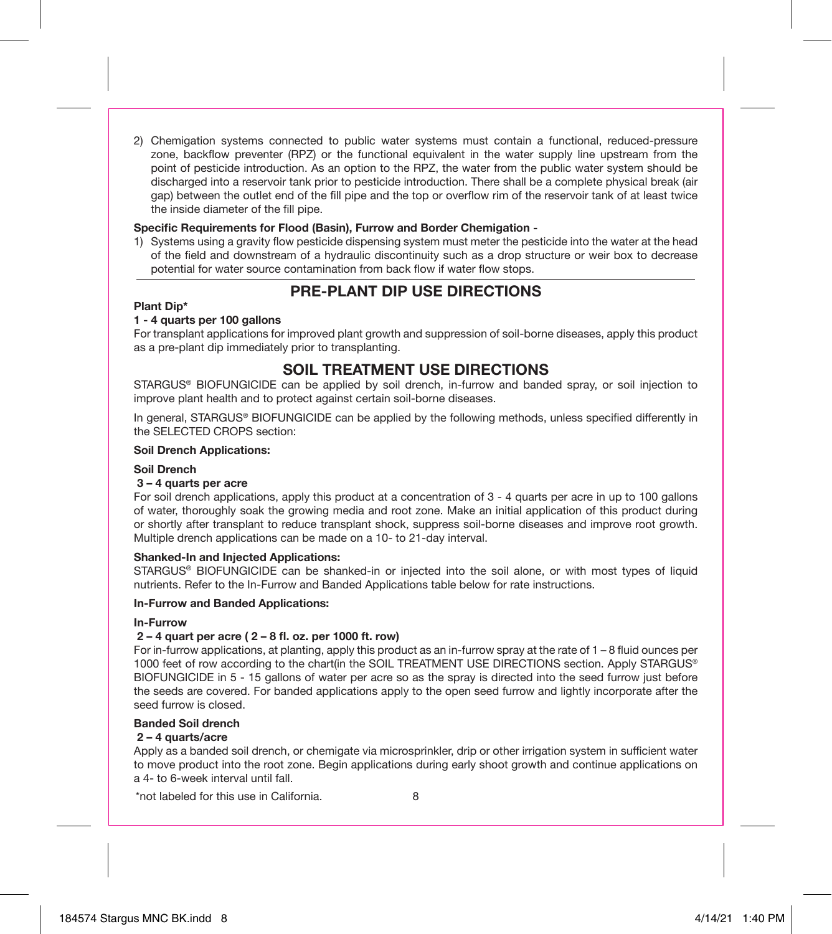2) Chemigation systems connected to public water systems must contain a functional, reduced-pressure zone, backflow preventer (RPZ) or the functional equivalent in the water supply line upstream from the point of pesticide introduction. As an option to the RPZ, the water from the public water system should be discharged into a reservoir tank prior to pesticide introduction. There shall be a complete physical break (air gap) between the outlet end of the fill pipe and the top or overflow rim of the reservoir tank of at least twice the inside diameter of the fill pipe.

#### **Specific Requirements for Flood (Basin), Furrow and Border Chemigation -**

1) Systems using a gravity flow pesticide dispensing system must meter the pesticide into the water at the head of the field and downstream of a hydraulic discontinuity such as a drop structure or weir box to decrease potential for water source contamination from back flow if water flow stops.

# **PRE-PLANT DIP USE DIRECTIONS**

#### **Plant Dip\***

#### **1 - 4 quarts per 100 gallons**

For transplant applications for improved plant growth and suppression of soil-borne diseases, apply this product as a pre-plant dip immediately prior to transplanting.

# **SOIL TREATMENT USE DIRECTIONS**

STARGUS® BIOFUNGICIDE can be applied by soil drench, in-furrow and banded spray, or soil injection to improve plant health and to protect against certain soil-borne diseases.

In general, STARGUS® BIOFUNGICIDE can be applied by the following methods, unless specified differently in the SELECTED CROPS section:

#### **Soil Drench Applications:**

#### **Soil Drench**

#### **3 – 4 quarts per acre**

For soil drench applications, apply this product at a concentration of 3 - 4 quarts per acre in up to 100 gallons of water, thoroughly soak the growing media and root zone. Make an initial application of this product during or shortly after transplant to reduce transplant shock, suppress soil-borne diseases and improve root growth. Multiple drench applications can be made on a 10- to 21-day interval.

#### **Shanked-In and Injected Applications:**

STARGUS® BIOFUNGICIDE can be shanked-in or injected into the soil alone, or with most types of liquid nutrients. Refer to the In-Furrow and Banded Applications table below for rate instructions.

#### **In-Furrow and Banded Applications:**

#### **In-Furrow**

#### **2 – 4 quart per acre ( 2 – 8 fl. oz. per 1000 ft. row)**

For in-furrow applications, at planting, apply this product as an in-furrow spray at the rate of 1 – 8 fluid ounces per 1000 feet of row according to the chart(in the SOIL TREATMENT USE DIRECTIONS section. Apply STARGUS® BIOFUNGICIDE in 5 - 15 gallons of water per acre so as the spray is directed into the seed furrow just before the seeds are covered. For banded applications apply to the open seed furrow and lightly incorporate after the seed furrow is closed.

#### **Banded Soil drench**

#### **2 – 4 quarts/acre**

Apply as a banded soil drench, or chemigate via microsprinkler, drip or other irrigation system in sufficient water to move product into the root zone. Begin applications during early shoot growth and continue applications on a 4- to 6-week interval until fall.

\*not labeled for this use in California.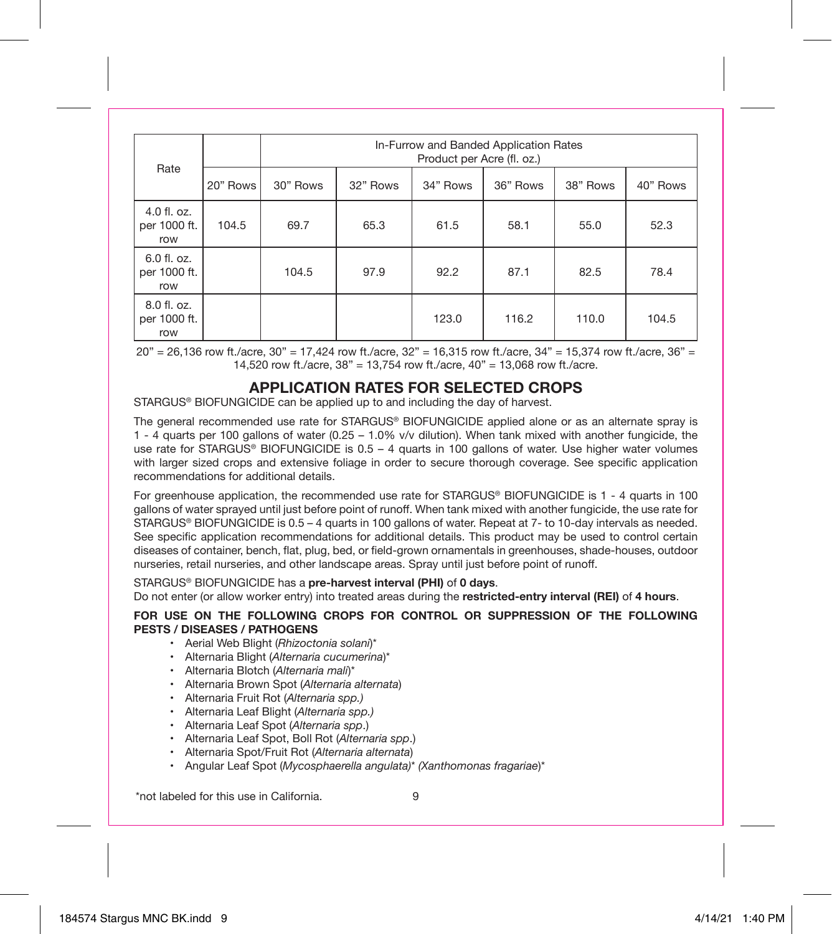| Rate                               |          |          | In-Furrow and Banded Application Rates<br>Product per Acre (fl. oz.) |          |          |          |          |
|------------------------------------|----------|----------|----------------------------------------------------------------------|----------|----------|----------|----------|
|                                    | 20" Rows | 30" Rows | 32" Rows                                                             | 34" Rows | 36" Rows | 38" Rows | 40" Rows |
| 4.0 fl. oz.<br>per 1000 ft.<br>row | 104.5    | 69.7     | 65.3                                                                 | 61.5     | 58.1     | 55.0     | 52.3     |
| 6.0 fl. oz.<br>per 1000 ft.<br>row |          | 104.5    | 97.9                                                                 | 92.2     | 87.1     | 82.5     | 78.4     |
| 8.0 fl. oz.<br>per 1000 ft.<br>row |          |          |                                                                      | 123.0    | 116.2    | 110.0    | 104.5    |

20" = 26,136 row ft./acre, 30" = 17,424 row ft./acre, 32" = 16,315 row ft./acre, 34" = 15,374 row ft./acre, 36" = 14,520 row ft./acre, 38" = 13,754 row ft./acre, 40" = 13,068 row ft./acre.

## **APPLICATION RATES FOR SELECTED CROPS**

STARGUS® BIOFUNGICIDE can be applied up to and including the day of harvest.

The general recommended use rate for STARGUS® BIOFUNGICIDE applied alone or as an alternate spray is 1 - 4 quarts per 100 gallons of water (0.25 – 1.0% v/v dilution). When tank mixed with another fungicide, the use rate for STARGUS® BIOFUNGICIDE is 0.5 - 4 quarts in 100 gallons of water. Use higher water volumes with larger sized crops and extensive foliage in order to secure thorough coverage. See specific application recommendations for additional details.

For greenhouse application, the recommended use rate for STARGUS® BIOFUNGICIDE is 1 - 4 quarts in 100 gallons of water sprayed until just before point of runoff. When tank mixed with another fungicide, the use rate for STARGUS® BIOFUNGICIDE is 0.5 – 4 quarts in 100 gallons of water. Repeat at 7- to 10-day intervals as needed. See specific application recommendations for additional details. This product may be used to control certain diseases of container, bench, flat, plug, bed, or field-grown ornamentals in greenhouses, shade-houses, outdoor nurseries, retail nurseries, and other landscape areas. Spray until just before point of runoff.

STARGUS® BIOFUNGICIDE has a **pre-harvest interval (PHI)** of **0 days**.

Do not enter (or allow worker entry) into treated areas during the **restricted-entry interval (REI)** of **4 hours**.

#### **FOR USE ON THE FOLLOWING CROPS FOR CONTROL OR SUPPRESSION OF THE FOLLOWING PESTS / DISEASES / PATHOGENS**

- Aerial Web Blight (*Rhizoctonia solani*)\*
- Alternaria Blight (*Alternaria cucumerina*)\*
- Alternaria Blotch (*Alternaria mali*)\*
- Alternaria Brown Spot (*Alternaria alternata*)
- Alternaria Fruit Rot (*Alternaria spp.)*
- Alternaria Leaf Blight (*Alternaria spp.)*
- Alternaria Leaf Spot (*Alternaria spp*.)
- Alternaria Leaf Spot, Boll Rot (*Alternaria spp*.)
- Alternaria Spot/Fruit Rot (*Alternaria alternata*)
- Angular Leaf Spot (*Mycosphaerella angulata)*\* *(Xanthomonas fragariae*)\*

\*not labeled for this use in California.

 $\alpha$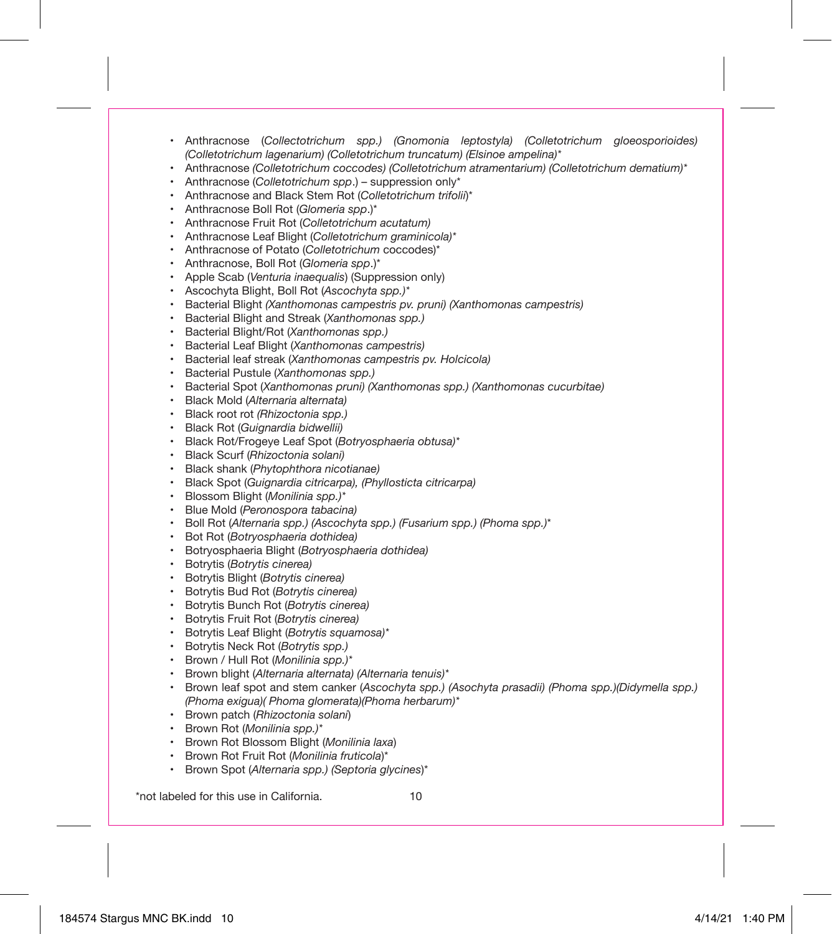- Anthracnose (*Collectotrichum spp.) (Gnomonia leptostyla) (Colletotrichum gloeosporioides) (Colletotrichum lagenarium) (Colletotrichum truncatum) (Elsinoe ampelina)\**
- Anthracnose *(Colletotrichum coccodes) (Colletotrichum atramentarium) (Colletotrichum dematium)\**
- Anthracnose (*Colletotrichum spp*.) suppression only\*
- Anthracnose and Black Stem Rot (*Colletotrichum trifolii*)\*
- Anthracnose Boll Rot (*Glomeria spp*.)\*
- Anthracnose Fruit Rot (*Colletotrichum acutatum)*
- Anthracnose Leaf Blight (*Colletotrichum graminicola)\**
- Anthracnose of Potato (*Colletotrichum* coccodes)\*
- Anthracnose, Boll Rot (*Glomeria spp*.)\*
- Apple Scab (*Venturia inaequalis*) (Suppression only)
- Ascochyta Blight, Boll Rot (*Ascochyta spp.)\**
- Bacterial Blight *(Xanthomonas campestris pv. pruni) (Xanthomonas campestris)*
- Bacterial Blight and Streak (*Xanthomonas spp.)*
- Bacterial Blight/Rot (*Xanthomonas spp.)*
- Bacterial Leaf Blight (*Xanthomonas campestris)*
- Bacterial leaf streak (*Xanthomonas campestris pv. Holcicola)*
- Bacterial Pustule (*Xanthomonas spp.)*
- Bacterial Spot (*Xanthomonas pruni) (Xanthomonas spp.) (Xanthomonas cucurbitae)*
- Black Mold (*Alternaria alternata)*
- Black root rot *(Rhizoctonia spp.)*
- Black Rot (*Guignardia bidwellii)*
- Black Rot/Frogeye Leaf Spot (*Botryosphaeria obtusa)\**
- Black Scurf (*Rhizoctonia solani)*
- Black shank (*Phytophthora nicotianae)*
- Black Spot (*Guignardia citricarpa), (Phyllosticta citricarpa)*
- Blossom Blight (*Monilinia spp.)\**
- Blue Mold (*Peronospora tabacina)*
- Boll Rot (*Alternaria spp.) (Ascochyta spp.) (Fusarium spp.) (Phoma spp.)*\*
- Bot Rot (*Botryosphaeria dothidea)*
- Botryosphaeria Blight (*Botryosphaeria dothidea)*
- Botrytis (*Botrytis cinerea)*
- Botrytis Blight (*Botrytis cinerea)*
- Botrytis Bud Rot (*Botrytis cinerea)*
- Botrytis Bunch Rot (*Botrytis cinerea)*
- Botrytis Fruit Rot (*Botrytis cinerea)*
- Botrytis Leaf Blight (*Botrytis squamosa)\**
- Botrytis Neck Rot (*Botrytis spp.)*
- Brown / Hull Rot (*Monilinia spp.)\**
- Brown blight (*Alternaria alternata) (Alternaria tenuis)\**
- Brown leaf spot and stem canker (*Ascochyta spp.) (Asochyta prasadii) (Phoma spp.)(Didymella spp.) (Phoma exigua)( Phoma glomerata)(Phoma herbarum)\**
- Brown patch (*Rhizoctonia solani*)
- Brown Rot (*Monilinia spp.)\**
- Brown Rot Blossom Blight (*Monilinia laxa*)
- Brown Rot Fruit Rot (*Monilinia fruticola*)\*
- Brown Spot (*Alternaria spp.) (Septoria glycines*)\*

\*not labeled for this use in California.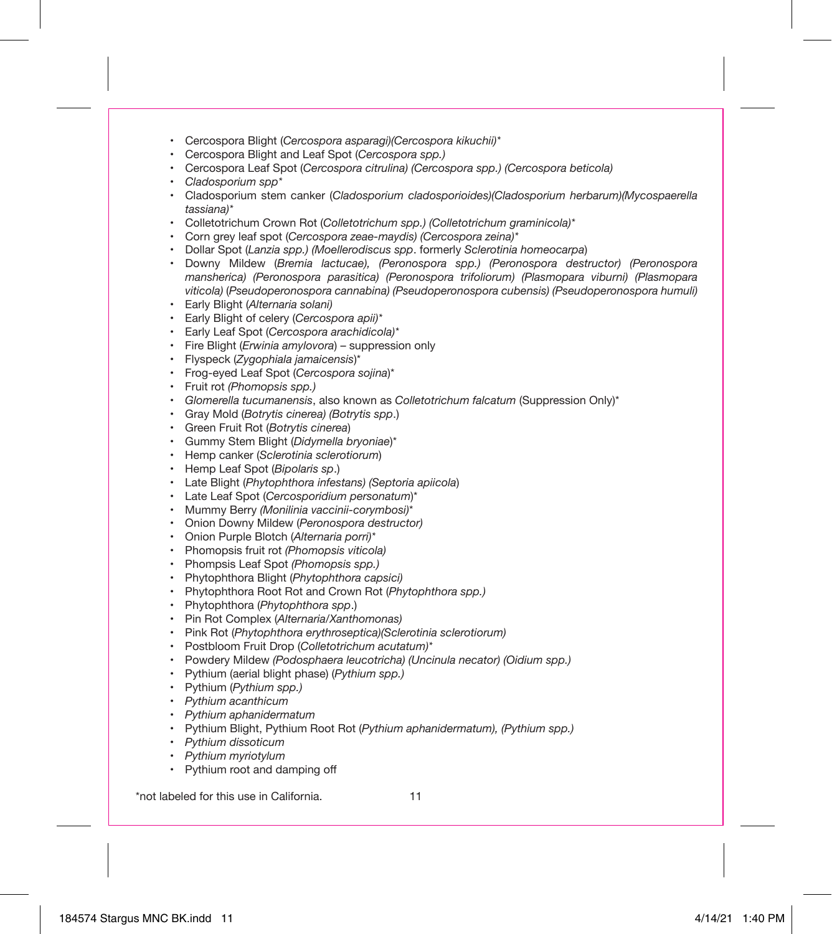- Cercospora Blight (*Cercospora asparagi)(Cercospora kikuchii)\**
- Cercospora Blight and Leaf Spot (*Cercospora spp.)*
- Cercospora Leaf Spot (*Cercospora citrulina) (Cercospora spp.) (Cercospora beticola)*
- *Cladosporium spp\**
- Cladosporium stem canker (*Cladosporium cladosporioides)(Cladosporium herbarum)(Mycospaerella tassiana)\**
- Colletotrichum Crown Rot (*Colletotrichum spp.) (Colletotrichum graminicola)\**
- Corn grey leaf spot (*Cercospora zeae-maydis) (Cercospora zeina)\**
- Dollar Spot (*Lanzia spp.) (Moellerodiscus spp*. formerly *Sclerotinia homeocarpa*)
- Downy Mildew (*Bremia lactucae), (Peronospora spp.) (Peronospora destructor) (Peronospora mansherica) (Peronospora parasitica) (Peronospora trifoliorum) (Plasmopara viburni) (Plasmopara viticola)* (*Pseudoperonospora cannabina) (Pseudoperonospora cubensis) (Pseudoperonospora humuli)*
- Early Blight (*Alternaria solani)*
- Early Blight of celery (*Cercospora apii)\**
- Early Leaf Spot (*Cercospora arachidicola)\**
- Fire Blight (*Erwinia amylovora*) suppression only
- Flyspeck (*Zygophiala jamaicensis*)\*
- Frog-eyed Leaf Spot (*Cercospora sojina*)\*
- Fruit rot *(Phomopsis spp.)*
- *Glomerella tucumanensis*, also known as *Colletotrichum falcatum* (Suppression Only)\*
- Gray Mold (*Botrytis cinerea) (Botrytis spp*.)
- Green Fruit Rot (*Botrytis cinerea*)
- Gummy Stem Blight (*Didymella bryoniae*)\*
- Hemp canker (*Sclerotinia sclerotiorum*)
- Hemp Leaf Spot (*Bipolaris sp*.)
- Late Blight (*Phytophthora infestans) (Septoria apiicola*)
- Late Leaf Spot (*Cercosporidium personatum*)\*
- Mummy Berry *(Monilinia vaccinii-corymbosi)*\*
- Onion Downy Mildew (*Peronospora destructor)*
- Onion Purple Blotch (*Alternaria porri)\**
- Phomopsis fruit rot *(Phomopsis viticola)*
- Phompsis Leaf Spot *(Phomopsis spp.)*
- Phytophthora Blight (*Phytophthora capsici)*
- Phytophthora Root Rot and Crown Rot (*Phytophthora spp.)*
- Phytophthora (*Phytophthora spp*.)
- Pin Rot Complex (*Alternaria/Xanthomonas)*
- Pink Rot (*Phytophthora erythroseptica)(Sclerotinia sclerotiorum)*
- Postbloom Fruit Drop (*Colletotrichum acutatum)\**
- Powdery Mildew *(Podosphaera leucotricha) (Uncinula necator) (Oidium spp.)*
- Pythium (aerial blight phase) (*Pythium spp.)*
- Pythium (*Pythium spp.)*
- *Pythium acanthicum*
- *Pythium aphanidermatum*
- Pythium Blight, Pythium Root Rot (*Pythium aphanidermatum), (Pythium spp.)*
- *Pythium dissoticum*
- *Pythium myriotylum*
- Pythium root and damping off

\*not labeled for this use in California.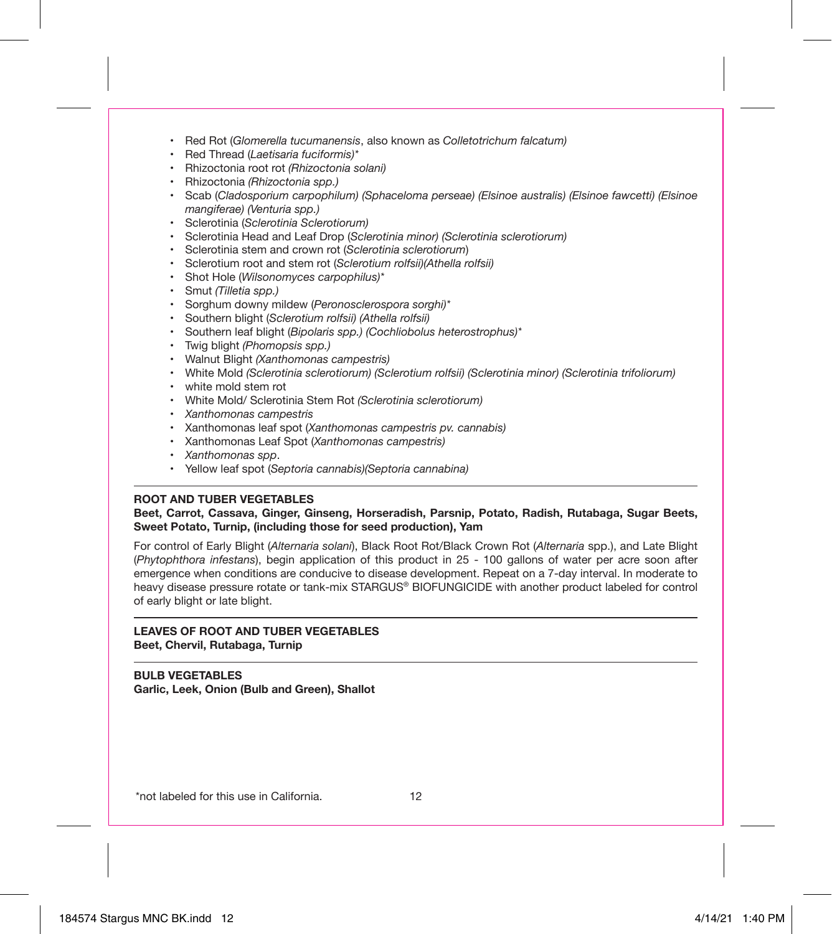- Red Rot (*Glomerella tucumanensis*, also known as *Colletotrichum falcatum)*
- Red Thread (*Laetisaria fuciformis)\**
- Rhizoctonia root rot *(Rhizoctonia solani)*
- Rhizoctonia *(Rhizoctonia spp.)*
- Scab (*Cladosporium carpophilum) (Sphaceloma perseae) (Elsinoe australis) (Elsinoe fawcetti) (Elsinoe mangiferae) (Venturia spp.)*
- Sclerotinia (*Sclerotinia Sclerotiorum)*
- Sclerotinia Head and Leaf Drop (*Sclerotinia minor) (Sclerotinia sclerotiorum)*
- Sclerotinia stem and crown rot (*Sclerotinia sclerotiorum*)
- Sclerotium root and stem rot (*Sclerotium rolfsii)(Athella rolfsii)*
- Shot Hole (*Wilsonomyces carpophilus)\**
- Smut *(Tilletia spp.)*
- Sorghum downy mildew (*Peronosclerospora sorghi)\**
- Southern blight (*Sclerotium rolfsii) (Athella rolfsii)*
- Southern leaf blight (*Bipolaris spp.) (Cochliobolus heterostrophus)\**
- Twig blight *(Phomopsis spp.)*
- Walnut Blight *(Xanthomonas campestris)*
- White Mold *(Sclerotinia sclerotiorum) (Sclerotium rolfsii) (Sclerotinia minor) (Sclerotinia trifoliorum)*
- white mold stem rot
- White Mold/ Sclerotinia Stem Rot *(Sclerotinia sclerotiorum)*
- *Xanthomonas campestris*
- Xanthomonas leaf spot (*Xanthomonas campestris pv. cannabis)*
- Xanthomonas Leaf Spot (*Xanthomonas campestris)*
- *Xanthomonas spp*.
- Yellow leaf spot (*Septoria cannabis)(Septoria cannabina)*

#### **ROOT AND TUBER VEGETABLES**

#### **Beet, Carrot, Cassava, Ginger, Ginseng, Horseradish, Parsnip, Potato, Radish, Rutabaga, Sugar Beets, Sweet Potato, Turnip, (including those for seed production), Yam**

For control of Early Blight (*Alternaria solani*), Black Root Rot/Black Crown Rot (*Alternaria* spp.), and Late Blight (*Phytophthora infestans*), begin application of this product in 25 - 100 gallons of water per acre soon after emergence when conditions are conducive to disease development. Repeat on a 7-day interval. In moderate to heavy disease pressure rotate or tank-mix STARGUS® BIOFUNGICIDE with another product labeled for control of early blight or late blight.

#### **LEAVES OF ROOT AND TUBER VEGETABLES Beet, Chervil, Rutabaga, Turnip**

**BULB VEGETABLES Garlic, Leek, Onion (Bulb and Green), Shallot**

\*not labeled for this use in California.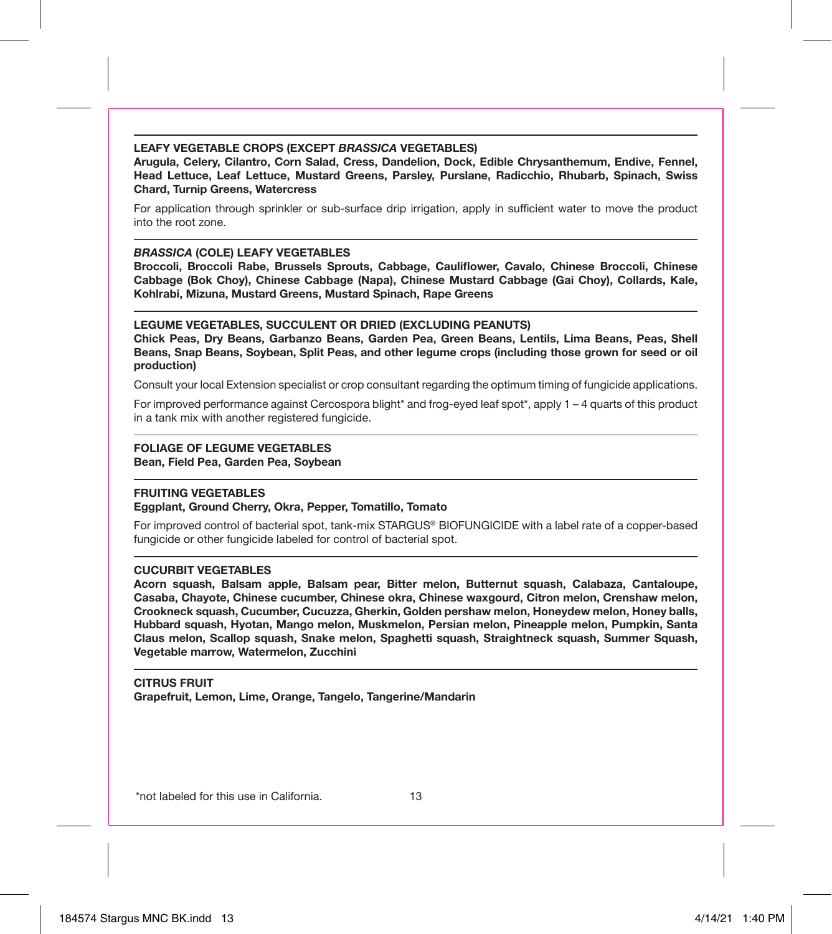#### **LEAFY VEGETABLE CROPS (EXCEPT** *BRASSICA* **VEGETABLES)**

**Arugula, Celery, Cilantro, Corn Salad, Cress, Dandelion, Dock, Edible Chrysanthemum, Endive, Fennel, Head Lettuce, Leaf Lettuce, Mustard Greens, Parsley, Purslane, Radicchio, Rhubarb, Spinach, Swiss Chard, Turnip Greens, Watercress**

For application through sprinkler or sub-surface drip irrigation, apply in sufficient water to move the product into the root zone.

#### *BRASSICA* **(COLE) LEAFY VEGETABLES**

**Broccoli, Broccoli Rabe, Brussels Sprouts, Cabbage, Cauliflower, Cavalo, Chinese Broccoli, Chinese Cabbage (Bok Choy), Chinese Cabbage (Napa), Chinese Mustard Cabbage (Gai Choy), Collards, Kale, Kohlrabi, Mizuna, Mustard Greens, Mustard Spinach, Rape Greens**

#### **LEGUME VEGETABLES, SUCCULENT OR DRIED (EXCLUDING PEANUTS)**

**Chick Peas, Dry Beans, Garbanzo Beans, Garden Pea, Green Beans, Lentils, Lima Beans, Peas, Shell Beans, Snap Beans, Soybean, Split Peas, and other legume crops (including those grown for seed or oil production)**

Consult your local Extension specialist or crop consultant regarding the optimum timing of fungicide applications.

For improved performance against Cercospora blight\* and frog-eyed leaf spot\*, apply 1 – 4 quarts of this product in a tank mix with another registered fungicide.

#### **FOLIAGE OF LEGUME VEGETABLES**

**Bean, Field Pea, Garden Pea, Soybean**

#### **FRUITING VEGETABLES**

#### **Eggplant, Ground Cherry, Okra, Pepper, Tomatillo, Tomato**

For improved control of bacterial spot, tank-mix STARGUS® BIOFUNGICIDE with a label rate of a copper-based fungicide or other fungicide labeled for control of bacterial spot.

#### **CUCURBIT VEGETABLES**

**Acorn squash, Balsam apple, Balsam pear, Bitter melon, Butternut squash, Calabaza, Cantaloupe, Casaba, Chayote, Chinese cucumber, Chinese okra, Chinese waxgourd, Citron melon, Crenshaw melon, Crookneck squash, Cucumber, Cucuzza, Gherkin, Golden pershaw melon, Honeydew melon, Honey balls, Hubbard squash, Hyotan, Mango melon, Muskmelon, Persian melon, Pineapple melon, Pumpkin, Santa Claus melon, Scallop squash, Snake melon, Spaghetti squash, Straightneck squash, Summer Squash, Vegetable marrow, Watermelon, Zucchini**

# **CITRUS FRUIT**

**Grapefruit, Lemon, Lime, Orange, Tangelo, Tangerine/Mandarin**

\*not labeled for this use in California.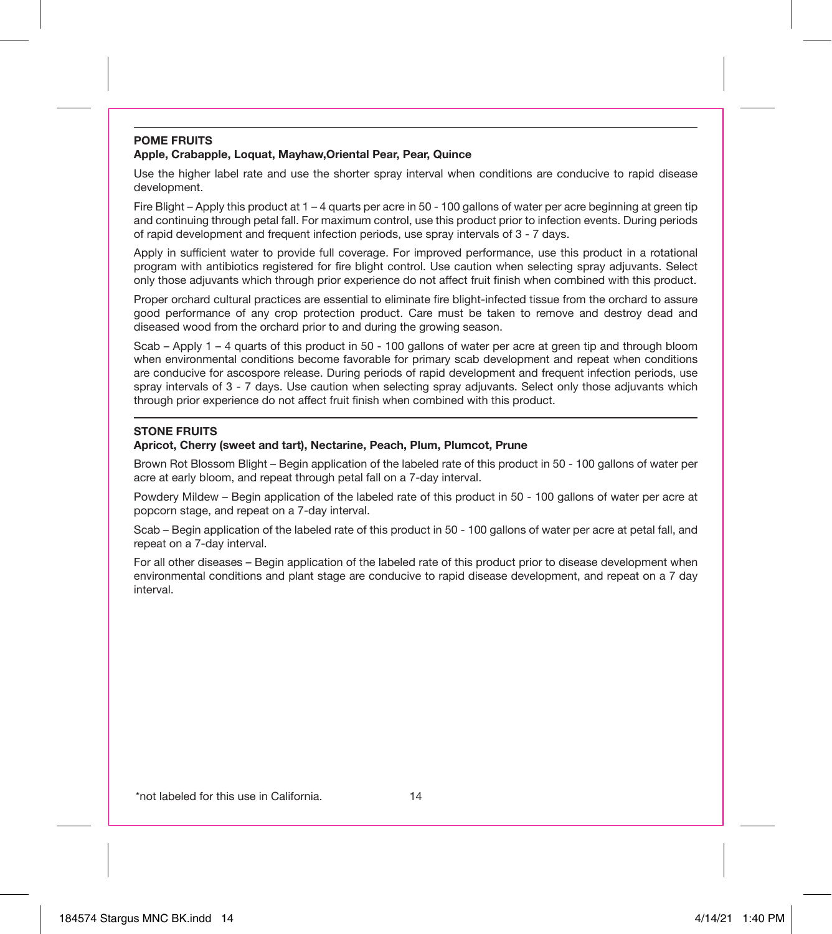#### **POME FRUITS Apple, Crabapple, Loquat, Mayhaw,Oriental Pear, Pear, Quince**

Use the higher label rate and use the shorter spray interval when conditions are conducive to rapid disease development.

Fire Blight – Apply this product at 1 – 4 quarts per acre in 50 - 100 gallons of water per acre beginning at green tip and continuing through petal fall. For maximum control, use this product prior to infection events. During periods of rapid development and frequent infection periods, use spray intervals of 3 - 7 days.

Apply in sufficient water to provide full coverage. For improved performance, use this product in a rotational program with antibiotics registered for fire blight control. Use caution when selecting spray adjuvants. Select only those adjuvants which through prior experience do not affect fruit finish when combined with this product.

Proper orchard cultural practices are essential to eliminate fire blight-infected tissue from the orchard to assure good performance of any crop protection product. Care must be taken to remove and destroy dead and diseased wood from the orchard prior to and during the growing season.

Scab – Apply 1 – 4 quarts of this product in 50 - 100 gallons of water per acre at green tip and through bloom when environmental conditions become favorable for primary scab development and repeat when conditions are conducive for ascospore release. During periods of rapid development and frequent infection periods, use spray intervals of 3 - 7 days. Use caution when selecting spray adjuvants. Select only those adjuvants which through prior experience do not affect fruit finish when combined with this product.

#### **STONE FRUITS**

#### **Apricot, Cherry (sweet and tart), Nectarine, Peach, Plum, Plumcot, Prune**

Brown Rot Blossom Blight – Begin application of the labeled rate of this product in 50 - 100 gallons of water per acre at early bloom, and repeat through petal fall on a 7-day interval.

Powdery Mildew – Begin application of the labeled rate of this product in 50 - 100 gallons of water per acre at popcorn stage, and repeat on a 7-day interval.

Scab – Begin application of the labeled rate of this product in 50 - 100 gallons of water per acre at petal fall, and repeat on a 7-day interval.

For all other diseases – Begin application of the labeled rate of this product prior to disease development when environmental conditions and plant stage are conducive to rapid disease development, and repeat on a 7 day interval.

\*not labeled for this use in California.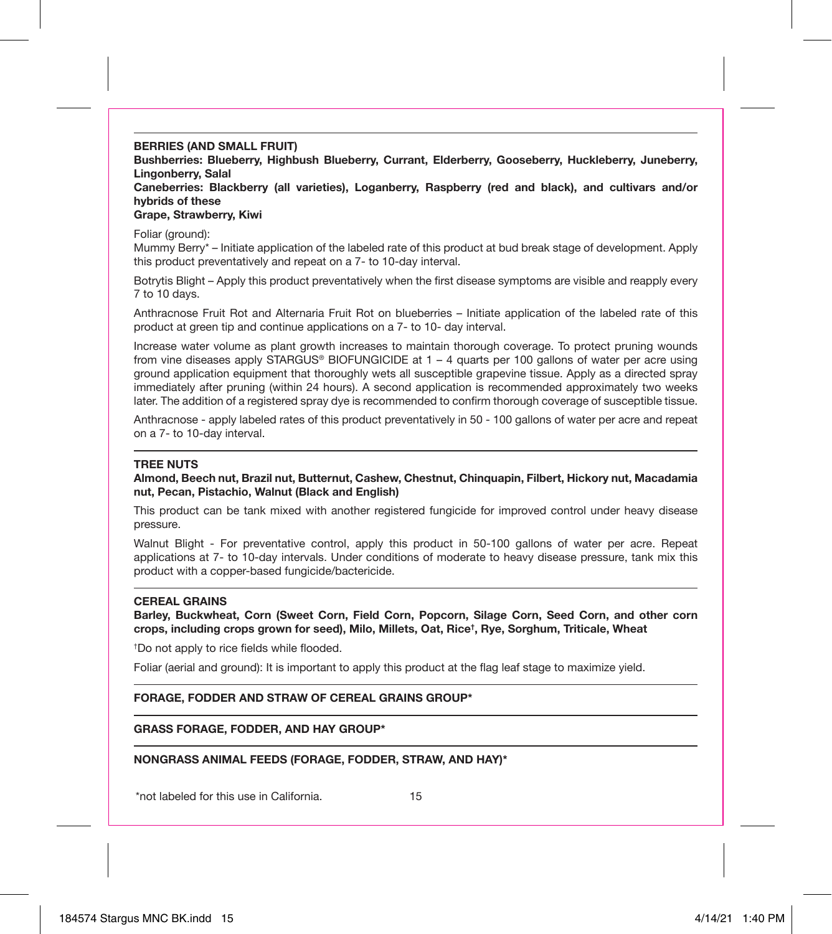**BERRIES (AND SMALL FRUIT)**

**Bushberries: Blueberry, Highbush Blueberry, Currant, Elderberry, Gooseberry, Huckleberry, Juneberry, Lingonberry, Salal**

**Caneberries: Blackberry (all varieties), Loganberry, Raspberry (red and black), and cultivars and/or hybrids of these**

#### **Grape, Strawberry, Kiwi**

Foliar (ground):

Mummy Berry\* – Initiate application of the labeled rate of this product at bud break stage of development. Apply this product preventatively and repeat on a 7- to 10-day interval.

Botrytis Blight – Apply this product preventatively when the first disease symptoms are visible and reapply every 7 to 10 days.

Anthracnose Fruit Rot and Alternaria Fruit Rot on blueberries – Initiate application of the labeled rate of this product at green tip and continue applications on a 7- to 10- day interval.

Increase water volume as plant growth increases to maintain thorough coverage. To protect pruning wounds from vine diseases apply STARGUS® BIOFUNGICIDE at 1 – 4 quarts per 100 gallons of water per acre using ground application equipment that thoroughly wets all susceptible grapevine tissue. Apply as a directed spray immediately after pruning (within 24 hours). A second application is recommended approximately two weeks later. The addition of a registered spray dye is recommended to confirm thorough coverage of susceptible tissue.

Anthracnose - apply labeled rates of this product preventatively in 50 - 100 gallons of water per acre and repeat on a 7- to 10-day interval.

#### **TREE NUTS**

**Almond, Beech nut, Brazil nut, Butternut, Cashew, Chestnut, Chinquapin, Filbert, Hickory nut, Macadamia nut, Pecan, Pistachio, Walnut (Black and English)**

This product can be tank mixed with another registered fungicide for improved control under heavy disease pressure.

Walnut Blight - For preventative control, apply this product in 50-100 gallons of water per acre. Repeat applications at 7- to 10-day intervals. Under conditions of moderate to heavy disease pressure, tank mix this product with a copper-based fungicide/bactericide.

#### **CEREAL GRAINS**

**Barley, Buckwheat, Corn (Sweet Corn, Field Corn, Popcorn, Silage Corn, Seed Corn, and other corn crops, including crops grown for seed), Milo, Millets, Oat, Rice† , Rye, Sorghum, Triticale, Wheat**

† Do not apply to rice fields while flooded.

Foliar (aerial and ground): It is important to apply this product at the flag leaf stage to maximize yield.

#### **FORAGE, FODDER AND STRAW OF CEREAL GRAINS GROUP\***

**GRASS FORAGE, FODDER, AND HAY GROUP\***

**NONGRASS ANIMAL FEEDS (FORAGE, FODDER, STRAW, AND HAY)\***

\*not labeled for this use in California.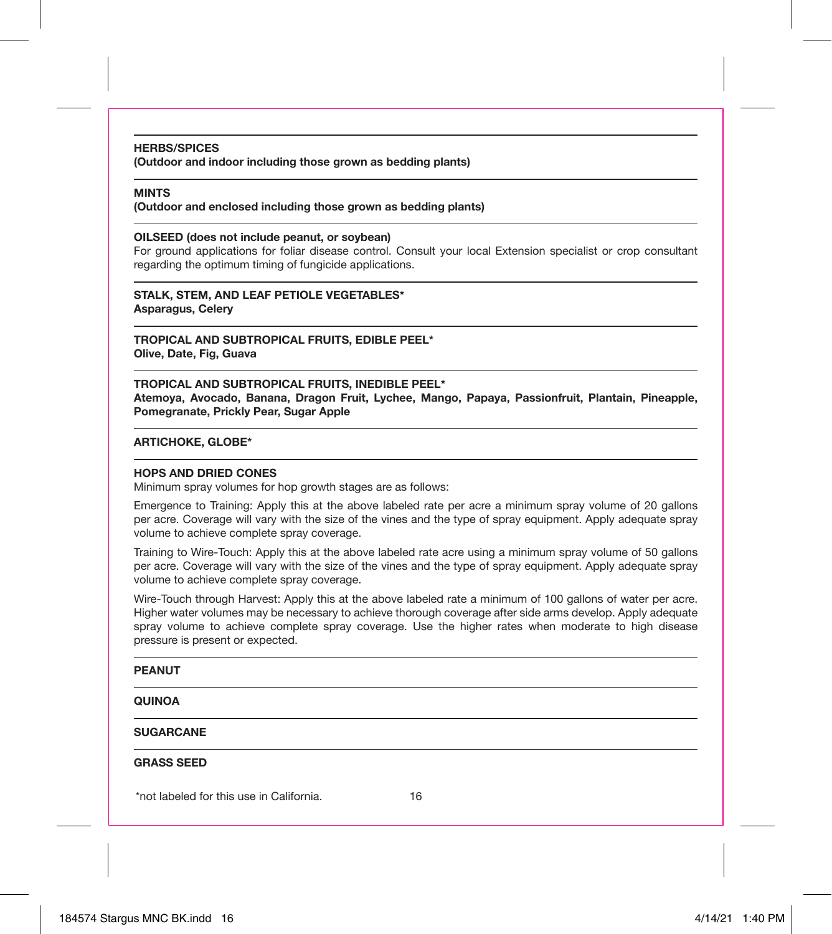#### **HERBS/SPICES**

**(Outdoor and indoor including those grown as bedding plants)**

#### **MINTS**

**(Outdoor and enclosed including those grown as bedding plants)**

#### **OILSEED (does not include peanut, or soybean)**

For ground applications for foliar disease control. Consult your local Extension specialist or crop consultant regarding the optimum timing of fungicide applications.

**STALK, STEM, AND LEAF PETIOLE VEGETABLES\* Asparagus, Celery**

**TROPICAL AND SUBTROPICAL FRUITS, EDIBLE PEEL\* Olive, Date, Fig, Guava**

**TROPICAL AND SUBTROPICAL FRUITS, INEDIBLE PEEL\* Atemoya, Avocado, Banana, Dragon Fruit, Lychee, Mango, Papaya, Passionfruit, Plantain, Pineapple, Pomegranate, Prickly Pear, Sugar Apple**

### **ARTICHOKE, GLOBE\***

#### **HOPS AND DRIED CONES**

Minimum spray volumes for hop growth stages are as follows:

Emergence to Training: Apply this at the above labeled rate per acre a minimum spray volume of 20 gallons per acre. Coverage will vary with the size of the vines and the type of spray equipment. Apply adequate spray volume to achieve complete spray coverage.

Training to Wire-Touch: Apply this at the above labeled rate acre using a minimum spray volume of 50 gallons per acre. Coverage will vary with the size of the vines and the type of spray equipment. Apply adequate spray volume to achieve complete spray coverage.

Wire-Touch through Harvest: Apply this at the above labeled rate a minimum of 100 gallons of water per acre. Higher water volumes may be necessary to achieve thorough coverage after side arms develop. Apply adequate spray volume to achieve complete spray coverage. Use the higher rates when moderate to high disease pressure is present or expected.

#### **PEANUT**

#### **QUINOA**

#### **SUGARCANE**

#### **GRASS SEED**

\*not labeled for this use in California.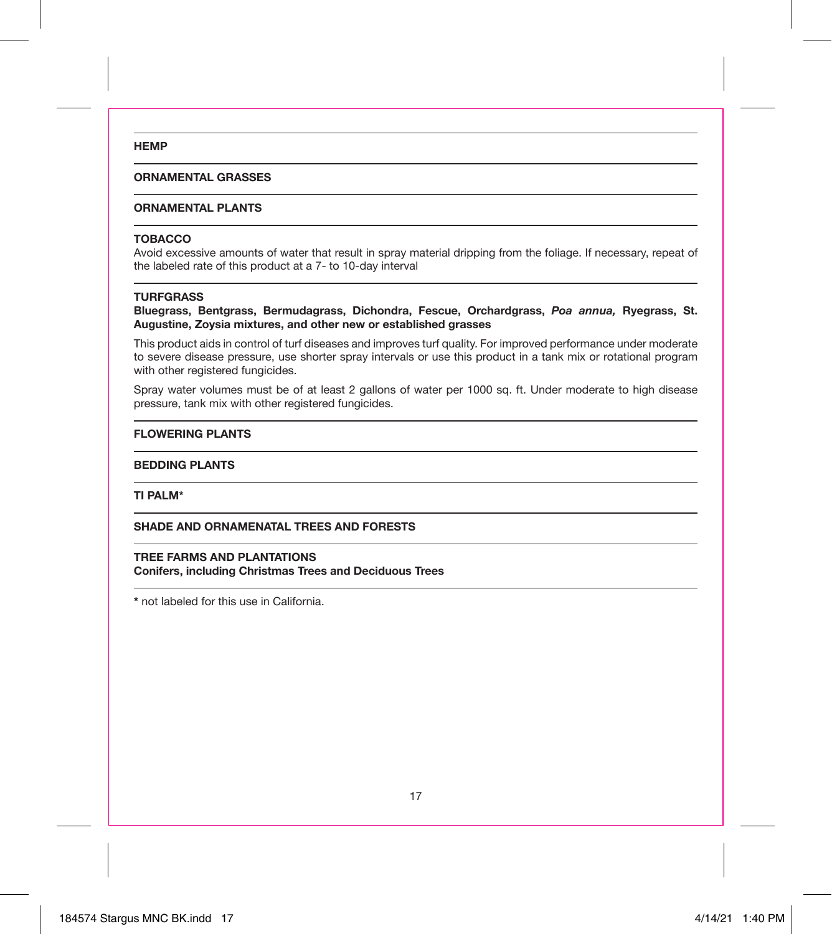#### **HEMP**

#### **ORNAMENTAL GRASSES**

#### **ORNAMENTAL PLANTS**

#### **TOBACCO**

Avoid excessive amounts of water that result in spray material dripping from the foliage. If necessary, repeat of the labeled rate of this product at a 7- to 10-day interval

#### **TURFGRASS**

**Bluegrass, Bentgrass, Bermudagrass, Dichondra, Fescue, Orchardgrass,** *Poa annua,* **Ryegrass, St. Augustine, Zoysia mixtures, and other new or established grasses**

This product aids in control of turf diseases and improves turf quality. For improved performance under moderate to severe disease pressure, use shorter spray intervals or use this product in a tank mix or rotational program with other registered fungicides.

Spray water volumes must be of at least 2 gallons of water per 1000 sq. ft. Under moderate to high disease pressure, tank mix with other registered fungicides.

#### **FLOWERING PLANTS**

#### **BEDDING PLANTS**

**TI PALM\***

**SHADE AND ORNAMENATAL TREES AND FORESTS**

#### **TREE FARMS AND PLANTATIONS**

**Conifers, including Christmas Trees and Deciduous Trees**

**\*** not labeled for this use in California.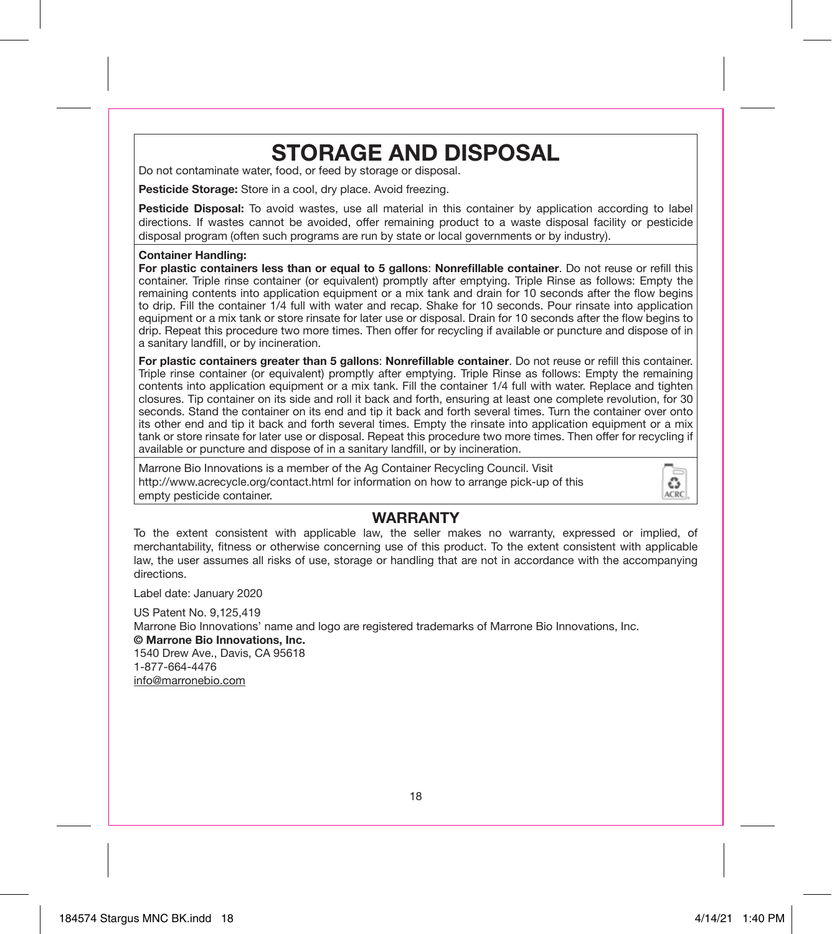# **STORAGE AND DISPOSAL**

Do not contaminate water, food, or feed by storage or disposal.

**Pesticide Storage:** Store in a cool, dry place. Avoid freezing.

**Pesticide Disposal:** To avoid wastes, use all material in this container by application according to label directions. If wastes cannot be avoided, offer remaining product to a waste disposal facility or pesticide disposal program (often such programs are run by state or local governments or by industry).

#### **Container Handling:**

**For plastic containers less than or equal to 5 gallons**: **Nonrefillable container**. Do not reuse or refill this container. Triple rinse container (or equivalent) promptly after emptying. Triple Rinse as follows: Empty the remaining contents into application equipment or a mix tank and drain for 10 seconds after the flow begins to drip. Fill the container 1/4 full with water and recap. Shake for 10 seconds. Pour rinsate into application equipment or a mix tank or store rinsate for later use or disposal. Drain for 10 seconds after the flow begins to drip. Repeat this procedure two more times. Then offer for recycling if available or puncture and dispose of in a sanitary landfill, or by incineration.

**For plastic containers greater than 5 gallons**: **Nonrefillable container**. Do not reuse or refill this container. Triple rinse container (or equivalent) promptly after emptying. Triple Rinse as follows: Empty the remaining contents into application equipment or a mix tank. Fill the container 1/4 full with water. Replace and tighten closures. Tip container on its side and roll it back and forth, ensuring at least one complete revolution, for 30 seconds. Stand the container on its end and tip it back and forth several times. Turn the container over onto its other end and tip it back and forth several times. Empty the rinsate into application equipment or a mix tank or store rinsate for later use or disposal. Repeat this procedure two more times. Then offer for recycling if available or puncture and dispose of in a sanitary landfill, or by incineration.

Marrone Bio Innovations is a member of the Ag Container Recycling Council. Visit http://www.acrecycle.org/contact.html for information on how to arrange pick-up of this empty pesticide container.



### **WARRANTY**

To the extent consistent with applicable law, the seller makes no warranty, expressed or implied, of merchantability, fitness or otherwise concerning use of this product. To the extent consistent with applicable law, the user assumes all risks of use, storage or handling that are not in accordance with the accompanying directions.

Label date: January 2020

US Patent No. 9,125,419

Marrone Bio Innovations' name and logo are registered trademarks of Marrone Bio Innovations, Inc. **© Marrone Bio Innovations, Inc.** 1540 Drew Ave., Davis, CA 95618 1-877-664-4476

info@marronebio.com